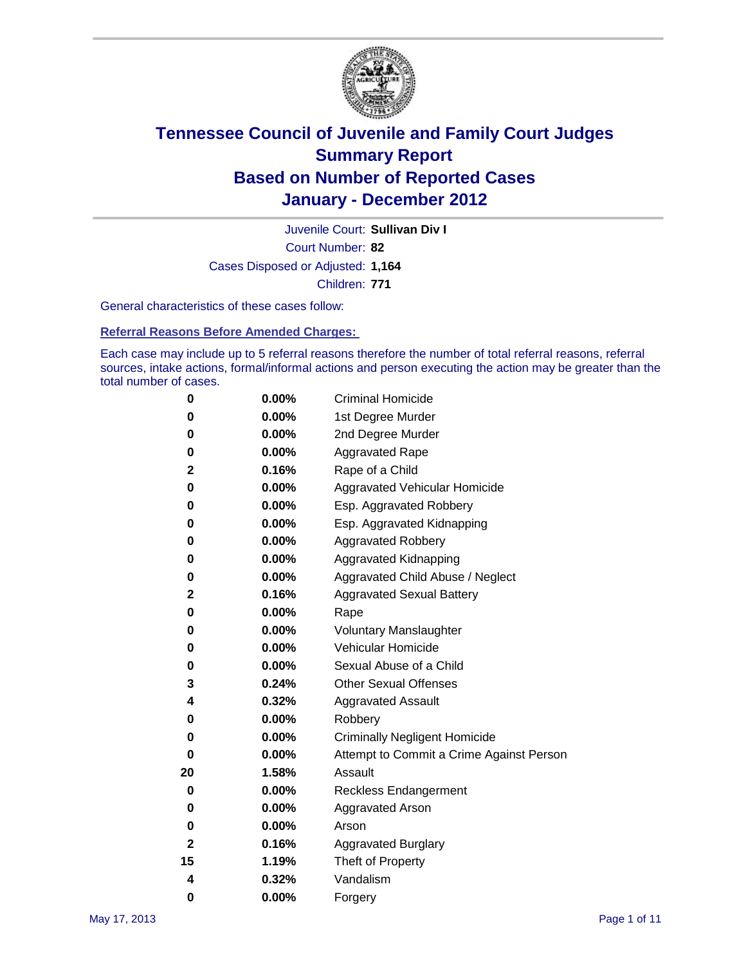

Court Number: **82** Juvenile Court: **Sullivan Div I** Cases Disposed or Adjusted: **1,164** Children: **771**

General characteristics of these cases follow:

**Referral Reasons Before Amended Charges:** 

Each case may include up to 5 referral reasons therefore the number of total referral reasons, referral sources, intake actions, formal/informal actions and person executing the action may be greater than the total number of cases.

| 0  | 0.00%    | <b>Criminal Homicide</b>                 |  |  |  |
|----|----------|------------------------------------------|--|--|--|
| 0  | 0.00%    | 1st Degree Murder                        |  |  |  |
| 0  | 0.00%    | 2nd Degree Murder                        |  |  |  |
| 0  | 0.00%    | <b>Aggravated Rape</b>                   |  |  |  |
| 2  | 0.16%    | Rape of a Child                          |  |  |  |
| 0  | 0.00%    | Aggravated Vehicular Homicide            |  |  |  |
| 0  | 0.00%    | Esp. Aggravated Robbery                  |  |  |  |
| 0  | 0.00%    | Esp. Aggravated Kidnapping               |  |  |  |
| 0  | 0.00%    | <b>Aggravated Robbery</b>                |  |  |  |
| 0  | 0.00%    | Aggravated Kidnapping                    |  |  |  |
| 0  | 0.00%    | Aggravated Child Abuse / Neglect         |  |  |  |
| 2  | 0.16%    | <b>Aggravated Sexual Battery</b>         |  |  |  |
| 0  | 0.00%    | Rape                                     |  |  |  |
| 0  | 0.00%    | <b>Voluntary Manslaughter</b>            |  |  |  |
| 0  | 0.00%    | Vehicular Homicide                       |  |  |  |
| 0  | 0.00%    | Sexual Abuse of a Child                  |  |  |  |
| 3  | 0.24%    | <b>Other Sexual Offenses</b>             |  |  |  |
| 4  | 0.32%    | <b>Aggravated Assault</b>                |  |  |  |
| 0  | $0.00\%$ | Robbery                                  |  |  |  |
| 0  | 0.00%    | <b>Criminally Negligent Homicide</b>     |  |  |  |
| 0  | 0.00%    | Attempt to Commit a Crime Against Person |  |  |  |
| 20 | 1.58%    | Assault                                  |  |  |  |
| 0  | 0.00%    | <b>Reckless Endangerment</b>             |  |  |  |
| 0  | 0.00%    | <b>Aggravated Arson</b>                  |  |  |  |
| 0  | 0.00%    | Arson                                    |  |  |  |
| 2  | 0.16%    | <b>Aggravated Burglary</b>               |  |  |  |
| 15 | 1.19%    | Theft of Property                        |  |  |  |
| 4  | 0.32%    | Vandalism                                |  |  |  |
| 0  | 0.00%    | Forgery                                  |  |  |  |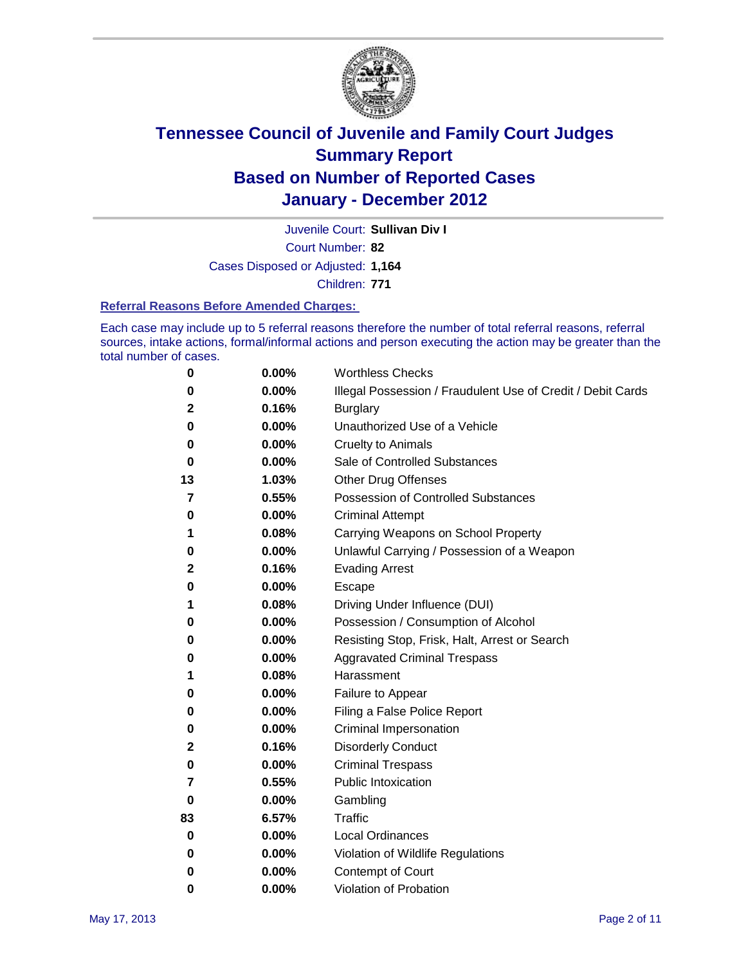

Juvenile Court: **Sullivan Div I**

Court Number: **82**

Cases Disposed or Adjusted: **1,164**

Children: **771**

#### **Referral Reasons Before Amended Charges:**

Each case may include up to 5 referral reasons therefore the number of total referral reasons, referral sources, intake actions, formal/informal actions and person executing the action may be greater than the total number of cases.

| 0  | 0.00% | <b>Worthless Checks</b>                                     |
|----|-------|-------------------------------------------------------------|
| 0  | 0.00% | Illegal Possession / Fraudulent Use of Credit / Debit Cards |
| 2  | 0.16% | <b>Burglary</b>                                             |
| 0  | 0.00% | Unauthorized Use of a Vehicle                               |
| 0  | 0.00% | <b>Cruelty to Animals</b>                                   |
| 0  | 0.00% | Sale of Controlled Substances                               |
| 13 | 1.03% | <b>Other Drug Offenses</b>                                  |
| 7  | 0.55% | <b>Possession of Controlled Substances</b>                  |
| 0  | 0.00% | <b>Criminal Attempt</b>                                     |
| 1  | 0.08% | Carrying Weapons on School Property                         |
| 0  | 0.00% | Unlawful Carrying / Possession of a Weapon                  |
| 2  | 0.16% | <b>Evading Arrest</b>                                       |
| 0  | 0.00% | Escape                                                      |
| 1  | 0.08% | Driving Under Influence (DUI)                               |
| 0  | 0.00% | Possession / Consumption of Alcohol                         |
| 0  | 0.00% | Resisting Stop, Frisk, Halt, Arrest or Search               |
| 0  | 0.00% | <b>Aggravated Criminal Trespass</b>                         |
| 1  | 0.08% | Harassment                                                  |
| 0  | 0.00% | Failure to Appear                                           |
| 0  | 0.00% | Filing a False Police Report                                |
| 0  | 0.00% | Criminal Impersonation                                      |
| 2  | 0.16% | <b>Disorderly Conduct</b>                                   |
| 0  | 0.00% | <b>Criminal Trespass</b>                                    |
| 7  | 0.55% | <b>Public Intoxication</b>                                  |
| 0  | 0.00% | Gambling                                                    |
| 83 | 6.57% | <b>Traffic</b>                                              |
| 0  | 0.00% | <b>Local Ordinances</b>                                     |
| 0  | 0.00% | Violation of Wildlife Regulations                           |
| 0  | 0.00% | Contempt of Court                                           |
| 0  | 0.00% | Violation of Probation                                      |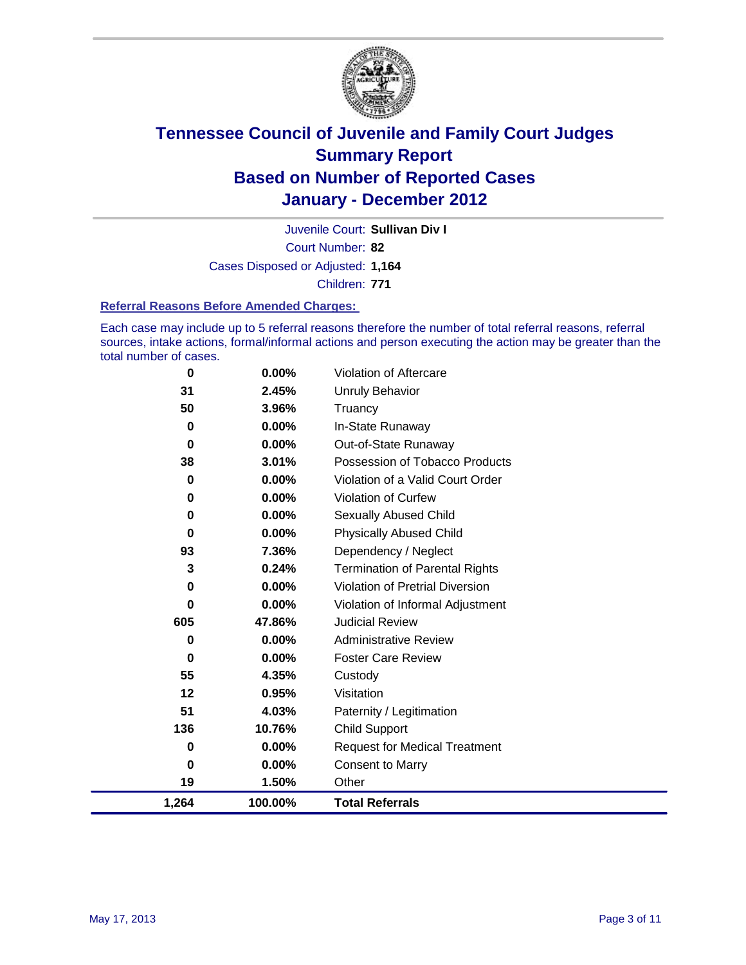

Court Number: **82** Juvenile Court: **Sullivan Div I** Cases Disposed or Adjusted: **1,164** Children: **771**

#### **Referral Reasons Before Amended Charges:**

Each case may include up to 5 referral reasons therefore the number of total referral reasons, referral sources, intake actions, formal/informal actions and person executing the action may be greater than the total number of cases.

| 0           | 0.00%    | Violation of Aftercare                 |
|-------------|----------|----------------------------------------|
| 31          | 2.45%    | <b>Unruly Behavior</b>                 |
| 50          | 3.96%    | Truancy                                |
| 0           | 0.00%    | In-State Runaway                       |
| 0           | 0.00%    | Out-of-State Runaway                   |
| 38          | 3.01%    | Possession of Tobacco Products         |
| 0           | 0.00%    | Violation of a Valid Court Order       |
| 0           | 0.00%    | Violation of Curfew                    |
| $\mathbf 0$ | 0.00%    | <b>Sexually Abused Child</b>           |
| $\bf{0}$    | 0.00%    | <b>Physically Abused Child</b>         |
| 93          | 7.36%    | Dependency / Neglect                   |
| 3           | 0.24%    | <b>Termination of Parental Rights</b>  |
| 0           | 0.00%    | <b>Violation of Pretrial Diversion</b> |
| 0           | 0.00%    | Violation of Informal Adjustment       |
| 605         | 47.86%   | <b>Judicial Review</b>                 |
| 0           | 0.00%    | <b>Administrative Review</b>           |
| 0           | $0.00\%$ | <b>Foster Care Review</b>              |
| 55          | 4.35%    | Custody                                |
| 12          | 0.95%    | Visitation                             |
| 51          | 4.03%    | Paternity / Legitimation               |
| 136         | 10.76%   | <b>Child Support</b>                   |
| 0           | $0.00\%$ | <b>Request for Medical Treatment</b>   |
| 0           | 0.00%    | <b>Consent to Marry</b>                |
| 19          | 1.50%    | Other                                  |
| 1,264       | 100.00%  | <b>Total Referrals</b>                 |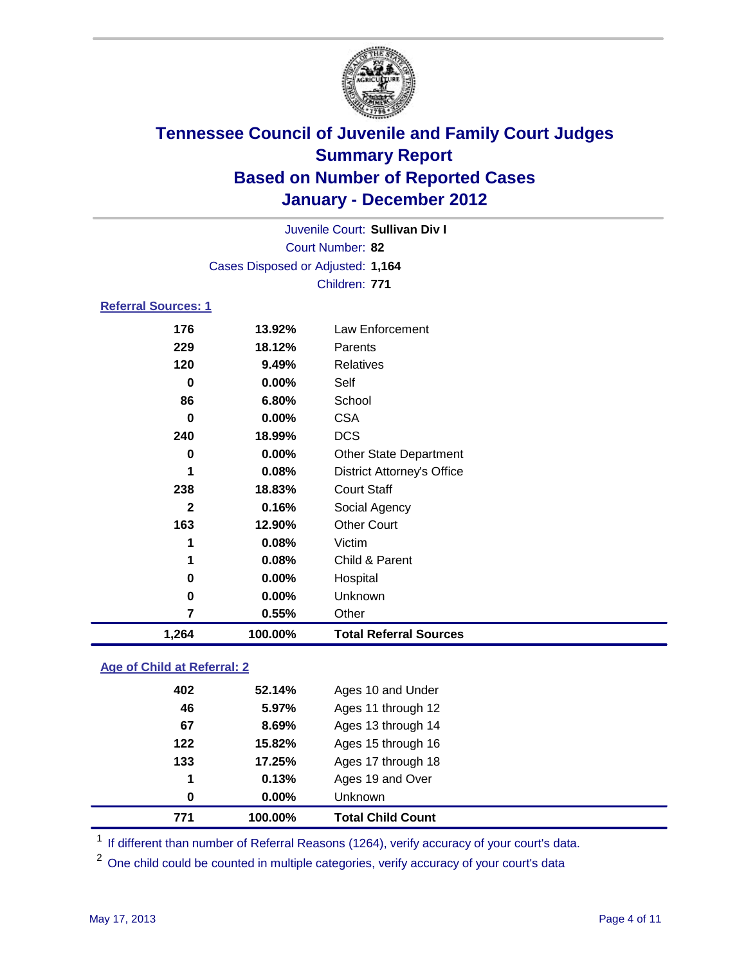

| Juvenile Court: Sullivan Div I |                                   |                                   |  |
|--------------------------------|-----------------------------------|-----------------------------------|--|
|                                | Court Number: 82                  |                                   |  |
|                                | Cases Disposed or Adjusted: 1,164 |                                   |  |
|                                |                                   | Children: 771                     |  |
| <b>Referral Sources: 1</b>     |                                   |                                   |  |
| 176                            | 13.92%                            | Law Enforcement                   |  |
| 229                            | 18.12%                            | Parents                           |  |
| 120                            | 9.49%                             | <b>Relatives</b>                  |  |
| 0                              | 0.00%                             | Self                              |  |
| 86                             | 6.80%                             | School                            |  |
| 0                              | 0.00%                             | <b>CSA</b>                        |  |
| 240                            | 18.99%                            | <b>DCS</b>                        |  |
| 0                              | $0.00\%$                          | <b>Other State Department</b>     |  |
| 1                              | 0.08%                             | <b>District Attorney's Office</b> |  |
| 238                            | 18.83%                            | <b>Court Staff</b>                |  |
| $\mathbf{2}$                   | 0.16%                             | Social Agency                     |  |
| 163                            | 12.90%                            | <b>Other Court</b>                |  |
| 1                              | 0.08%                             | Victim                            |  |
| 1                              | 0.08%                             | Child & Parent                    |  |
| 0                              | 0.00%                             | Hospital                          |  |
| $\bf{0}$                       | 0.00%                             | Unknown                           |  |
| $\overline{7}$                 | 0.55%                             | Other                             |  |
| 1,264                          | 100.00%                           | <b>Total Referral Sources</b>     |  |

### **Age of Child at Referral: 2**

| 771 | 100.00%  | <b>Total Child Count</b> |
|-----|----------|--------------------------|
| 0   | $0.00\%$ | <b>Unknown</b>           |
| 1   | 0.13%    | Ages 19 and Over         |
| 133 | 17.25%   | Ages 17 through 18       |
| 122 | 15.82%   | Ages 15 through 16       |
| 67  | 8.69%    | Ages 13 through 14       |
| 46  | 5.97%    | Ages 11 through 12       |
| 402 | 52.14%   | Ages 10 and Under        |
|     |          |                          |

<sup>1</sup> If different than number of Referral Reasons (1264), verify accuracy of your court's data.

<sup>2</sup> One child could be counted in multiple categories, verify accuracy of your court's data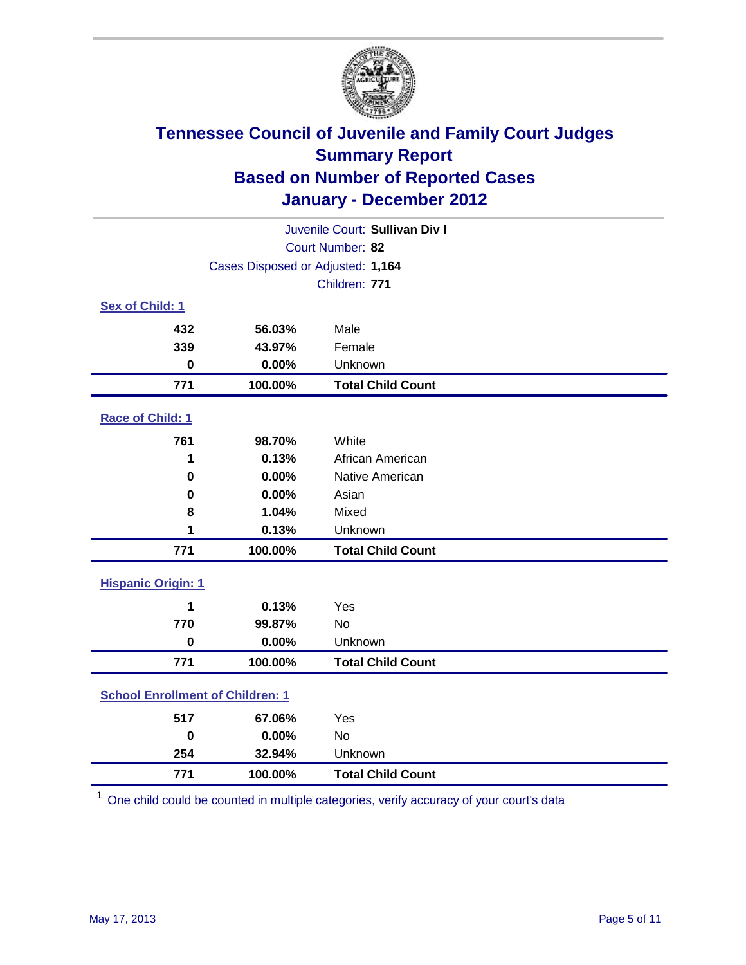

| Juvenile Court: Sullivan Div I          |                                   |                          |  |  |
|-----------------------------------------|-----------------------------------|--------------------------|--|--|
|                                         | Court Number: 82                  |                          |  |  |
|                                         | Cases Disposed or Adjusted: 1,164 |                          |  |  |
|                                         |                                   | Children: 771            |  |  |
| Sex of Child: 1                         |                                   |                          |  |  |
| 432                                     | 56.03%                            | Male                     |  |  |
| 339                                     | 43.97%                            | Female                   |  |  |
| $\bf{0}$                                | 0.00%                             | Unknown                  |  |  |
| 771                                     | 100.00%                           | <b>Total Child Count</b> |  |  |
| Race of Child: 1                        |                                   |                          |  |  |
| 761                                     | 98.70%                            | White                    |  |  |
| 1                                       | 0.13%                             | African American         |  |  |
| $\bf{0}$                                | 0.00%                             | Native American          |  |  |
| 0                                       | 0.00%                             | Asian                    |  |  |
| 8                                       | 1.04%                             | Mixed                    |  |  |
| 1                                       | 0.13%                             | Unknown                  |  |  |
| 771                                     | 100.00%                           | <b>Total Child Count</b> |  |  |
| <b>Hispanic Origin: 1</b>               |                                   |                          |  |  |
| 1                                       | 0.13%                             | Yes                      |  |  |
| 770                                     | 99.87%                            | No                       |  |  |
| $\bf{0}$                                | 0.00%                             | Unknown                  |  |  |
| 771                                     | 100.00%                           | <b>Total Child Count</b> |  |  |
| <b>School Enrollment of Children: 1</b> |                                   |                          |  |  |
| 517                                     | 67.06%                            | Yes                      |  |  |
| $\bf{0}$                                | 0.00%                             | No                       |  |  |
| 254                                     | 32.94%                            | Unknown                  |  |  |
| 771                                     | 100.00%                           | <b>Total Child Count</b> |  |  |

One child could be counted in multiple categories, verify accuracy of your court's data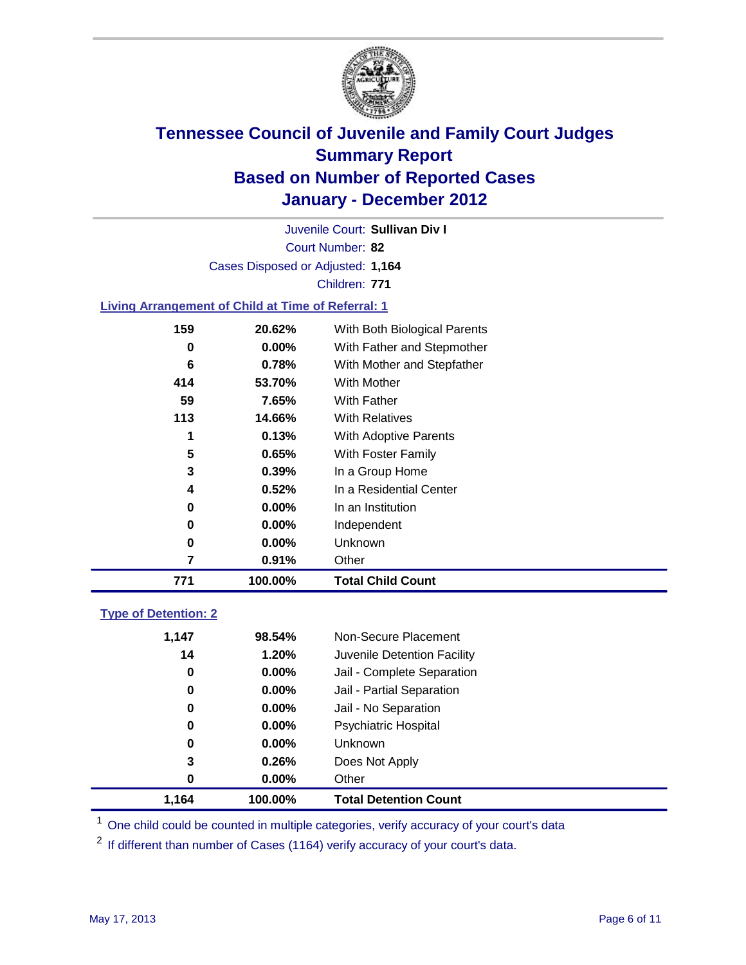

Court Number: **82** Juvenile Court: **Sullivan Div I** Cases Disposed or Adjusted: **1,164** Children: **771**

#### **Living Arrangement of Child at Time of Referral: 1**

| 7   | 0.91%    | Other                        |
|-----|----------|------------------------------|
| 0   | 0.00%    | Unknown                      |
| 0   | $0.00\%$ | Independent                  |
| 0   | $0.00\%$ | In an Institution            |
| 4   | 0.52%    | In a Residential Center      |
| 3   | 0.39%    | In a Group Home              |
| 5   | 0.65%    | With Foster Family           |
| 1   | 0.13%    | With Adoptive Parents        |
| 113 | 14.66%   | <b>With Relatives</b>        |
| 59  | 7.65%    | With Father                  |
| 414 | 53.70%   | With Mother                  |
| 6   | 0.78%    | With Mother and Stepfather   |
| 0   | $0.00\%$ | With Father and Stepmother   |
| 159 | 20.62%   | With Both Biological Parents |
|     |          |                              |

#### **Type of Detention: 2**

| 1.164 | 100.00%  | <b>Total Detention Count</b> |
|-------|----------|------------------------------|
| 0     | $0.00\%$ | Other                        |
| 3     | 0.26%    | Does Not Apply               |
| 0     | $0.00\%$ | <b>Unknown</b>               |
| 0     | $0.00\%$ | <b>Psychiatric Hospital</b>  |
| 0     | 0.00%    | Jail - No Separation         |
| 0     | $0.00\%$ | Jail - Partial Separation    |
| 0     | 0.00%    | Jail - Complete Separation   |
| 14    | 1.20%    | Juvenile Detention Facility  |
| 1,147 | 98.54%   | Non-Secure Placement         |
|       |          |                              |

<sup>1</sup> One child could be counted in multiple categories, verify accuracy of your court's data

<sup>2</sup> If different than number of Cases (1164) verify accuracy of your court's data.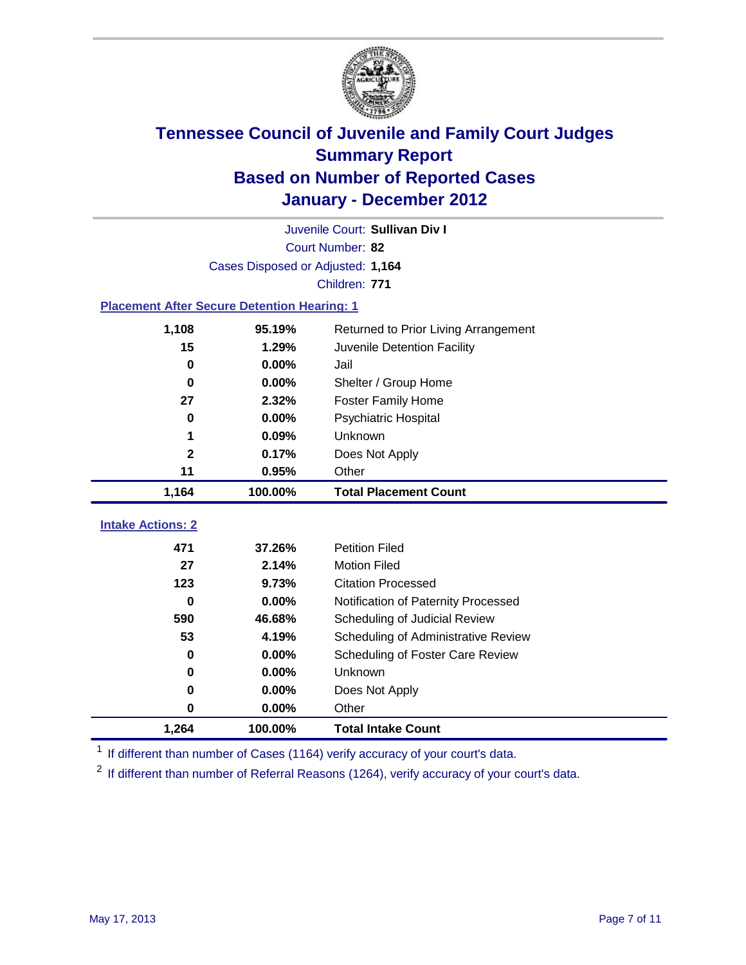

|                                                    | Juvenile Court: Sullivan Div I    |                                      |  |  |  |
|----------------------------------------------------|-----------------------------------|--------------------------------------|--|--|--|
|                                                    | Court Number: 82                  |                                      |  |  |  |
|                                                    | Cases Disposed or Adjusted: 1,164 |                                      |  |  |  |
|                                                    |                                   | Children: 771                        |  |  |  |
| <b>Placement After Secure Detention Hearing: 1</b> |                                   |                                      |  |  |  |
| 1,108                                              | 95.19%                            | Returned to Prior Living Arrangement |  |  |  |
| 15                                                 | 1.29%                             | Juvenile Detention Facility          |  |  |  |
| $\bf{0}$                                           | 0.00%                             | Jail                                 |  |  |  |
| $\bf{0}$                                           | 0.00%                             | Shelter / Group Home                 |  |  |  |
| 27                                                 | 2.32%                             | <b>Foster Family Home</b>            |  |  |  |
| $\bf{0}$                                           | 0.00%                             | <b>Psychiatric Hospital</b>          |  |  |  |
| 1                                                  | 0.09%                             | Unknown                              |  |  |  |
| $\overline{\mathbf{2}}$                            | 0.17%                             | Does Not Apply                       |  |  |  |
| 11                                                 | 0.95%                             | Other                                |  |  |  |
| 1,164                                              | 100.00%                           | <b>Total Placement Count</b>         |  |  |  |
| <b>Intake Actions: 2</b>                           |                                   |                                      |  |  |  |
| 471                                                | 37.26%                            | <b>Petition Filed</b>                |  |  |  |
| 27                                                 | 2.14%                             | <b>Motion Filed</b>                  |  |  |  |
| 123                                                | 9.73%                             | <b>Citation Processed</b>            |  |  |  |
| 0                                                  | 0.00%                             | Notification of Paternity Processed  |  |  |  |
| 590                                                | 46.68%                            | Scheduling of Judicial Review        |  |  |  |
| 53                                                 | 4.19%                             | Scheduling of Administrative Review  |  |  |  |
| 0                                                  | 0.00%                             | Scheduling of Foster Care Review     |  |  |  |
| $\bf{0}$                                           | 0.00%                             | Unknown                              |  |  |  |
| $\bf{0}$                                           | 0.00%                             | Does Not Apply                       |  |  |  |
| $\pmb{0}$                                          |                                   |                                      |  |  |  |
|                                                    | 0.00%                             | Other                                |  |  |  |

<sup>1</sup> If different than number of Cases (1164) verify accuracy of your court's data.

<sup>2</sup> If different than number of Referral Reasons (1264), verify accuracy of your court's data.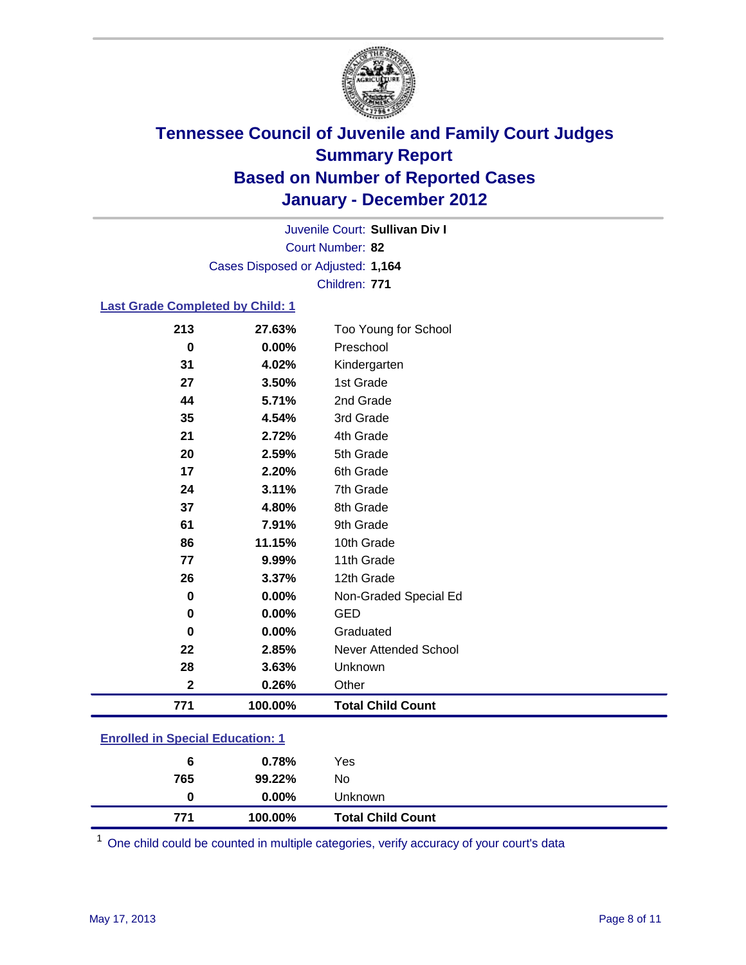

Court Number: **82** Juvenile Court: **Sullivan Div I** Cases Disposed or Adjusted: **1,164** Children: **771**

#### **Last Grade Completed by Child: 1**

| 213                                     | 27.63%  | Too Young for School         |  |
|-----------------------------------------|---------|------------------------------|--|
| $\bf{0}$                                | 0.00%   | Preschool                    |  |
| 31                                      | 4.02%   | Kindergarten                 |  |
| 27                                      | 3.50%   | 1st Grade                    |  |
| 44                                      | 5.71%   | 2nd Grade                    |  |
| 35                                      | 4.54%   | 3rd Grade                    |  |
| 21                                      | 2.72%   | 4th Grade                    |  |
| 20                                      | 2.59%   | 5th Grade                    |  |
| 17                                      | 2.20%   | 6th Grade                    |  |
| 24                                      | 3.11%   | 7th Grade                    |  |
| 37                                      | 4.80%   | 8th Grade                    |  |
| 61                                      | 7.91%   | 9th Grade                    |  |
| 86                                      | 11.15%  | 10th Grade                   |  |
| 77                                      | 9.99%   | 11th Grade                   |  |
| 26                                      | 3.37%   | 12th Grade                   |  |
| 0                                       | 0.00%   | Non-Graded Special Ed        |  |
| $\bf{0}$                                | 0.00%   | <b>GED</b>                   |  |
| $\bf{0}$                                | 0.00%   | Graduated                    |  |
| 22                                      | 2.85%   | <b>Never Attended School</b> |  |
| 28                                      | 3.63%   | Unknown                      |  |
| $\mathbf{2}$                            | 0.26%   | Other                        |  |
| 771                                     | 100.00% | <b>Total Child Count</b>     |  |
| <b>Enrolled in Special Education: 1</b> |         |                              |  |

| 6   | 0.78%    | Yes                      |  |
|-----|----------|--------------------------|--|
| 765 | 99.22%   | No                       |  |
| 0   | $0.00\%$ | <b>Unknown</b>           |  |
| 771 | 100.00%  | <b>Total Child Count</b> |  |

One child could be counted in multiple categories, verify accuracy of your court's data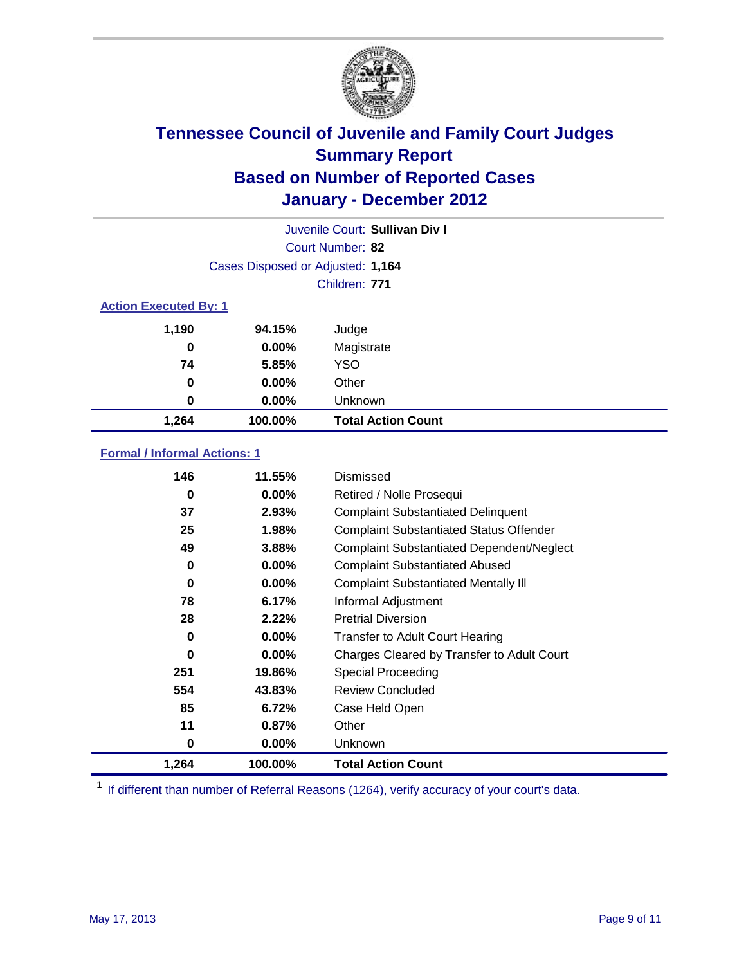

|                              | Juvenile Court: Sullivan Div I    |                           |  |  |
|------------------------------|-----------------------------------|---------------------------|--|--|
|                              | Court Number: 82                  |                           |  |  |
|                              | Cases Disposed or Adjusted: 1,164 |                           |  |  |
|                              |                                   | Children: 771             |  |  |
| <b>Action Executed By: 1</b> |                                   |                           |  |  |
| 1,190                        | 94.15%                            | Judge                     |  |  |
| 0                            | $0.00\%$                          | Magistrate                |  |  |
| 74                           | 5.85%                             | <b>YSO</b>                |  |  |
| 0                            | $0.00\%$                          | Other                     |  |  |
| 0                            | 0.00%                             | Unknown                   |  |  |
| 1,264                        | 100.00%                           | <b>Total Action Count</b> |  |  |

#### **Formal / Informal Actions: 1**

| 146   | 11.55%   | Dismissed                                        |
|-------|----------|--------------------------------------------------|
| 0     | $0.00\%$ | Retired / Nolle Prosequi                         |
| 37    | 2.93%    | <b>Complaint Substantiated Delinquent</b>        |
| 25    | 1.98%    | <b>Complaint Substantiated Status Offender</b>   |
| 49    | 3.88%    | <b>Complaint Substantiated Dependent/Neglect</b> |
| 0     | $0.00\%$ | <b>Complaint Substantiated Abused</b>            |
| 0     | $0.00\%$ | <b>Complaint Substantiated Mentally III</b>      |
| 78    | 6.17%    | Informal Adjustment                              |
| 28    | 2.22%    | <b>Pretrial Diversion</b>                        |
| 0     | $0.00\%$ | <b>Transfer to Adult Court Hearing</b>           |
| 0     | $0.00\%$ | Charges Cleared by Transfer to Adult Court       |
| 251   | 19.86%   | Special Proceeding                               |
| 554   | 43.83%   | <b>Review Concluded</b>                          |
| 85    | 6.72%    | Case Held Open                                   |
| 11    | 0.87%    | Other                                            |
| 0     | $0.00\%$ | <b>Unknown</b>                                   |
| 1,264 | 100.00%  | <b>Total Action Count</b>                        |

<sup>1</sup> If different than number of Referral Reasons (1264), verify accuracy of your court's data.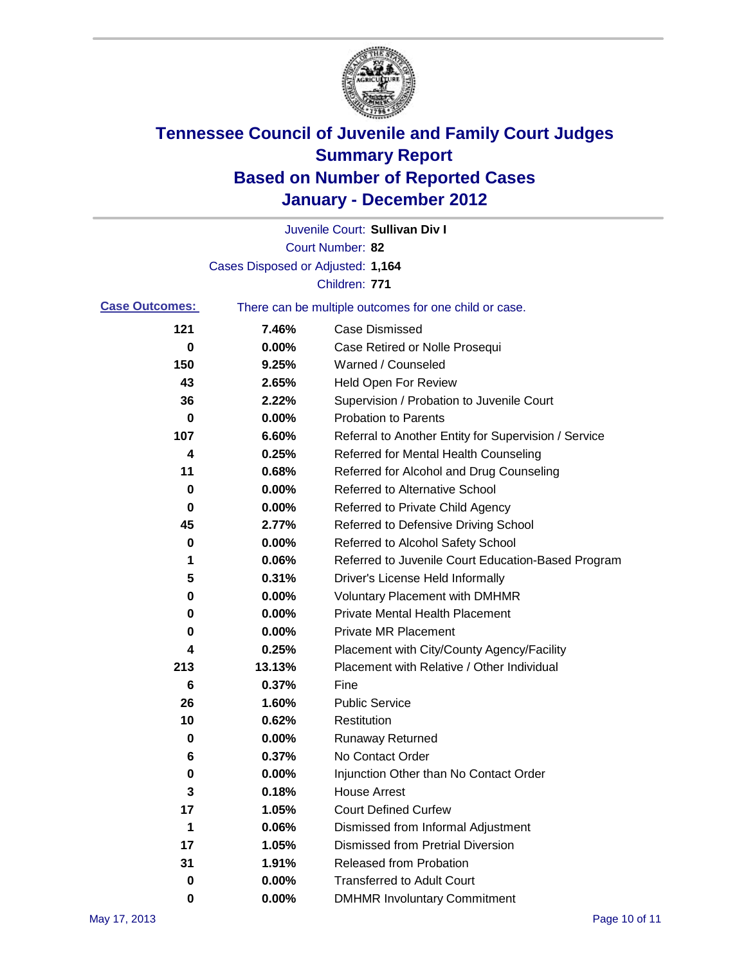

|                       |                                   | Juvenile Court: Sullivan Div I                        |
|-----------------------|-----------------------------------|-------------------------------------------------------|
|                       |                                   | Court Number: 82                                      |
|                       | Cases Disposed or Adjusted: 1,164 |                                                       |
|                       |                                   | Children: 771                                         |
| <b>Case Outcomes:</b> |                                   | There can be multiple outcomes for one child or case. |
| 121                   | 7.46%                             | <b>Case Dismissed</b>                                 |
| 0                     | 0.00%                             | Case Retired or Nolle Prosequi                        |
| 150                   | 9.25%                             | Warned / Counseled                                    |
| 43                    | 2.65%                             | Held Open For Review                                  |
| 36                    | 2.22%                             | Supervision / Probation to Juvenile Court             |
| 0                     | 0.00%                             | <b>Probation to Parents</b>                           |
| 107                   | 6.60%                             | Referral to Another Entity for Supervision / Service  |
| 4                     | 0.25%                             | Referred for Mental Health Counseling                 |
| 11                    | 0.68%                             | Referred for Alcohol and Drug Counseling              |
| 0                     | 0.00%                             | <b>Referred to Alternative School</b>                 |
| 0                     | 0.00%                             | Referred to Private Child Agency                      |
| 45                    | 2.77%                             | Referred to Defensive Driving School                  |
| 0                     | 0.00%                             | Referred to Alcohol Safety School                     |
| 1                     | 0.06%                             | Referred to Juvenile Court Education-Based Program    |
| 5                     | 0.31%                             | Driver's License Held Informally                      |
| 0                     | 0.00%                             | <b>Voluntary Placement with DMHMR</b>                 |
| 0                     | 0.00%                             | <b>Private Mental Health Placement</b>                |
| 0                     | 0.00%                             | <b>Private MR Placement</b>                           |
| 4                     | 0.25%                             | Placement with City/County Agency/Facility            |
| 213                   | 13.13%                            | Placement with Relative / Other Individual            |
| 6                     | 0.37%                             | Fine                                                  |
| 26                    | 1.60%                             | <b>Public Service</b>                                 |
| 10                    | 0.62%                             | Restitution                                           |
| 0                     | 0.00%                             | <b>Runaway Returned</b>                               |
| 6                     | 0.37%                             | No Contact Order                                      |
| 0                     | 0.00%                             | Injunction Other than No Contact Order                |
| 3                     | 0.18%                             | <b>House Arrest</b>                                   |
| 17                    | 1.05%                             | <b>Court Defined Curfew</b>                           |
| 1                     | 0.06%                             | Dismissed from Informal Adjustment                    |
| 17                    | 1.05%                             | <b>Dismissed from Pretrial Diversion</b>              |
| 31                    | 1.91%                             | Released from Probation                               |
| 0                     | 0.00%                             | <b>Transferred to Adult Court</b>                     |
| 0                     | 0.00%                             | <b>DMHMR Involuntary Commitment</b>                   |